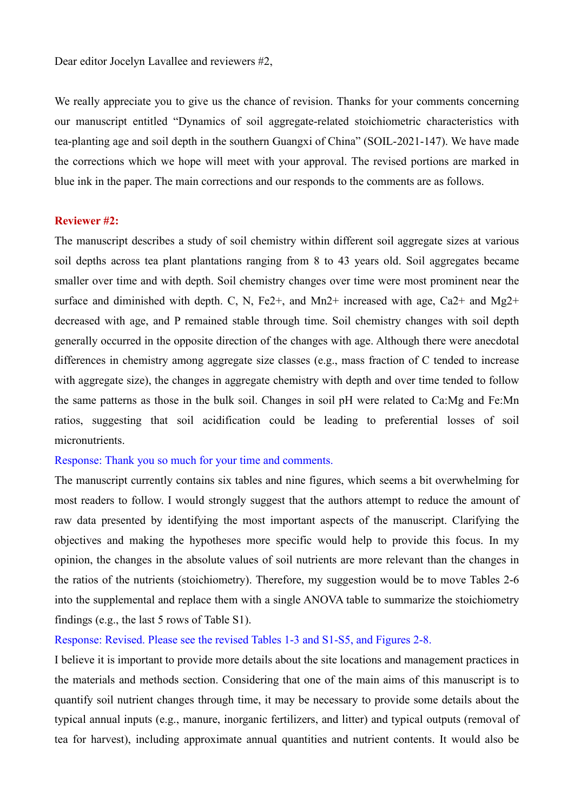Dear editor Jocelyn Lavallee and reviewers #2,

We really appreciate you to give us the chance of revision. Thanks for your comments concerning our manuscript entitled "Dynamics of soil aggregate-related stoichiometric characteristics with tea-planting age and soil depth in the southern Guangxi of China" (SOIL-2021-147). We have made the corrections which we hope will meet with your approval. The revised portions are marked in blue ink in the paper. The main corrections and our responds to the comments are as follows.

## **Reviewer #2:**

The manuscript describes a study of soil chemistry within different soil aggregate sizes at various soil depths across tea plant plantations ranging from 8 to 43 years old. Soil aggregates became smaller over time and with depth. Soil chemistry changes over time were most prominent near the surface and diminished with depth. C, N, Fe2+, and Mn2+ increased with age, Ca2+ and Mg2+ decreased with age, and P remained stable through time. Soil chemistry changes with soil depth generally occurred in the opposite direction of the changes with age. Although there were anecdotal differences in chemistry among aggregate size classes (e.g., mass fraction of C tended to increase with aggregate size), the changes in aggregate chemistry with depth and over time tended to follow the same patterns as those in the bulk soil. Changes in soil pH were related to Ca:Mg and Fe:Mn ratios, suggesting that soil acidification could be leading to preferential losses of soil micronutrients.

## Response: Thank you so much for your time and comments.

The manuscript currently contains six tables and nine figures, which seems a bit overwhelming for most readers to follow. I would strongly suggest that the authors attempt to reduce the amount of raw data presented by identifying the most important aspects of the manuscript. Clarifying the objectives and making the hypotheses more specific would help to provide this focus. In my opinion, the changes in the absolute values of soil nutrients are more relevant than the changes in the ratios of the nutrients (stoichiometry). Therefore, my suggestion would be to move Tables 2-6 into the supplemental and replace them with a single ANOVA table to summarize the stoichiometry findings (e.g., the last  $5$  rows of Table S1).

## Response: Revised. Please see the revised Tables 1-3 and S1-S5, and Figures 2-8.

I believe it is important to provide more details about the site locations and management practices in the materials and methods section. Considering that one of the main aims of this manuscript is to quantify soil nutrient changes through time, it may be necessary to provide some details about the typical annual inputs (e.g., manure, inorganic fertilizers, and litter) and typical outputs (removal of tea for harvest), including approximate annual quantities and nutrient contents. It would also be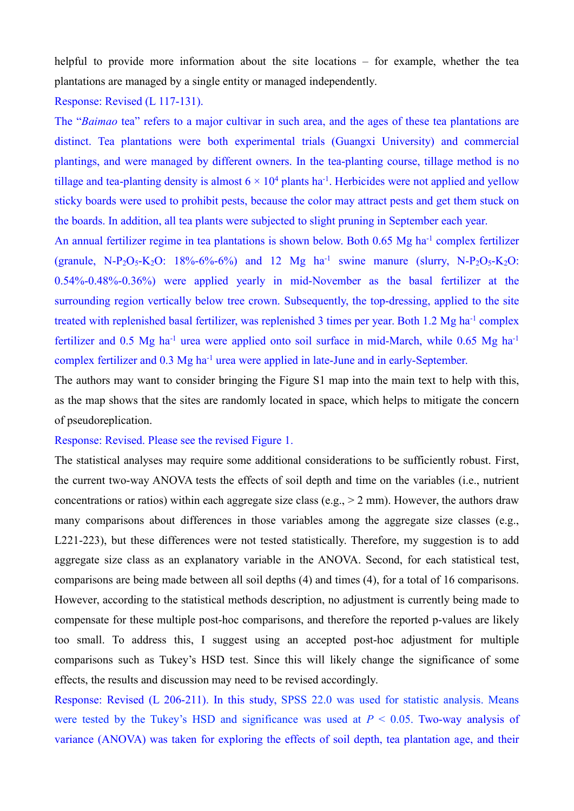helpful to provide more information about the site locations – for example, whether the tea plantations are managed by a single entity or managed independently.

Response: Revised (L 117-131).

The "*Baimao* tea" refers to a major cultivar in such area, and the ages of these tea plantations are distinct. Tea plantations were both experimental trials (Guangxi University) and commercial plantings, and were managed by different owners. In the tea-planting course, tillage method is no tillage and tea-planting density is almost  $6 \times 10^4$  plants ha<sup>-1</sup>. Herbicides were not applied and yellow sticky boards were used to prohibit pests, because the color may attract pests and get them stuck on the boards. In addition, all tea plants were subjected to slight pruning in September each year.

An annual fertilizer regime in tea plantations is shown below. Both 0.65 Mg ha<sup>-1</sup> complex fertilizer (granule, N-P<sub>2</sub>O<sub>5</sub>-K<sub>2</sub>O: 18%-6%-6%) and 12 Mg ha<sup>-1</sup> swine manure (slurry, N-P<sub>2</sub>O<sub>5</sub>-K<sub>2</sub>O: 0.54%-0.48%-0.36%) were applied yearly in mid-November as the basal fertilizer at the surrounding region vertically below tree crown. Subsequently, the top-dressing, applied to the site treated with replenished basal fertilizer, was replenished 3 times per year. Both 1.2 Mg ha<sup>-1</sup> complex fertilizer and 0.5 Mg ha<sup>-1</sup> urea were applied onto soil surface in mid-March, while 0.65 Mg ha<sup>-1</sup> complex fertilizer and 0.3 Mg ha<sup>-1</sup> urea were applied in late-June and in early-September.

The authors may want to consider bringing the Figure S1 map into the main text to help with this, as the map shows that the sites are randomly located in space, which helps to mitigate the concern of pseudoreplication.

Response: Revised. Please see the revised Figure 1.

The statistical analyses may require some additional considerations to be sufficiently robust. First, the current two-way ANOVA tests the effects of soil depth and time on the variables (i.e., nutrient concentrations or ratios) within each aggregate size class (e.g.,  $> 2$  mm). However, the authors draw many comparisons about differences in those variables among the aggregate size classes (e.g., L221-223), but these differences were not tested statistically. Therefore, my suggestion is to add aggregate size class as an explanatory variable in the ANOVA. Second, for each statistical test, comparisons are being made between all soil depths (4) and times (4), for a total of 16 comparisons. However, according to the statistical methods description, no adjustment is currently being made to compensate for these multiple post-hoc comparisons, and therefore the reported p-values are likely too small. To address this, I suggest using an accepted post-hoc adjustment for multiple comparisons such as Tukey's HSD test. Since this will likely change the significance of some effects, the results and discussion may need to be revised accordingly.

Response: Revised (L 206-211). In this study, SPSS 22.0 was used for statistic analysis. Means were tested by the Tukey's HSD and significance was used at  $P < 0.05$ . Two-way analysis of variance (ANOVA) was taken for exploring the effects of soil depth, tea plantation age, and their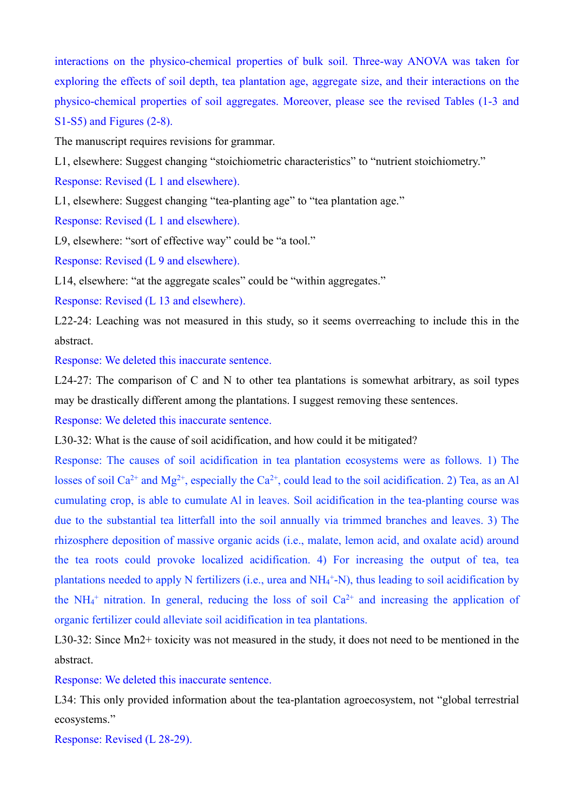interactions on the physico-chemical properties of bulk soil. Three-way ANOVA was taken for exploring the effects of soil depth, tea plantation age, aggregate size, and their interactions on the physico-chemical properties of soil aggregates. Moreover, please see the revised Tables (1-3 and S1-S5) and Figures (2-8).

The manuscript requires revisions for grammar.

L1, elsewhere: Suggest changing "stoichiometric characteristics" to "nutrient stoichiometry."

Response: Revised (L 1 and elsewhere).

L1, elsewhere: Suggest changing "tea-planting age" to "tea plantation age."

Response: Revised (L 1 and elsewhere).

L9, elsewhere: "sort of effective way" could be "a tool."

Response: Revised (L 9 and elsewhere).

L14, elsewhere: "at the aggregate scales" could be "within aggregates."

Response: Revised (L 13 and elsewhere).

L22-24: Leaching was not measured in this study, so it seems overreaching to include this in the abstract.

Response: We deleted this inaccurate sentence.

L24-27: The comparison of C and N to other tea plantations is somewhat arbitrary, as soil types may be drastically different among the plantations. I suggest removing these sentences.

Response: We deleted this inaccurate sentence.

L30-32: What is the cause of soil acidification, and how could it be mitigated?

Response: The causes of soil acidification in tea plantation ecosystems were as follows. 1) The losses of soil Ca<sup>2+</sup> and Mg<sup>2+</sup>, especially the Ca<sup>2+</sup>, could lead to the soil acidification. 2) Tea, as an Al cumulating crop, is able to cumulate Al in leaves. Soil acidification in the tea-planting course was due to the substantial tea litterfall into the soil annually via trimmed branches and leaves. 3) The rhizosphere deposition of massive organic acids (i.e., malate, lemon acid, and oxalate acid) around the tea roots could provoke localized acidification. 4) For increasing the output of tea, tea plantations needed to apply N fertilizers (i.e., urea and NH<sub>4</sub>+-N), thus leading to soil acidification by the NH<sub>4</sub><sup>+</sup> nitration. In general, reducing the loss of soil  $Ca^{2+}$  and increasing the application of organic fertilizer could alleviate soil acidification in tea plantations.

L30-32: Since Mn2+ toxicity was not measured in the study, it does not need to be mentioned in the abstract.

Response: We deleted this inaccurate sentence.

L34: This only provided information about the tea-plantation agroecosystem, not "global terrestrial ecosystems."

Response: Revised (L 28-29).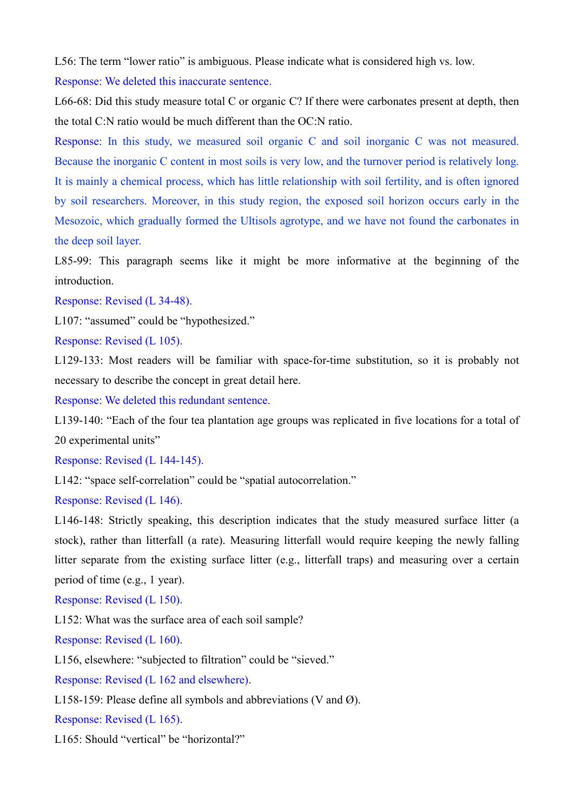L56: The term "lower ratio" is ambiguous. Please indicate what is considered high vs. low. Response: We deleted this inaccurate sentence.

L66-68: Did this study measure total C or organic C? If there were carbonates present at depth, then the total C:N ratio would be much different than the OC:N ratio.

Response: In this study, we measured soil organic C and soil inorganic C was not measured. Because the inorganic C content in most soils is very low, and the turnover period is relatively long. It is mainly a chemical process, which has little relationship with soil fertility, and is often ignored by soil researchers. Moreover, in this study region, the exposed soil horizon occurs early in the Mesozoic, which gradually formed the Ultisols agrotype, and we have not found the carbonates in the deep soil layer.

L85-99: This paragraph seems like it might be more informative at the beginning of the introduction.

Response: Revised (L 34-48).

L107: "assumed" could be "hypothesized."

Response: Revised (L 105).

L129-133: Most readers will be familiar with space-for-time substitution, so it is probably not necessary to describe the concept in great detail here.

Response: We deleted this redundant sentence.

L139-140: "Each of the four tea plantation age groups was replicated in five locations for a total of 20 experimental units"

Response: Revised (L 144-145).

L142: "space self-correlation" could be "spatial autocorrelation."

Response: Revised (L 146).

L146-148: Strictly speaking, this description indicates that the study measured surface litter (a stock), rather than litterfall (a rate). Measuring litterfall would require keeping the newly falling litter separate from the existing surface litter (e.g., litterfall traps) and measuring over a certain period of time (e.g., 1 year).

Response: Revised (L 150).

L152: What was the surface area of each soil sample?

Response: Revised (L 160).

L156, elsewhere: "subjected to filtration" could be "sieved."

Response: Revised (L 162 and elsewhere).

L158-159: Please define all symbols and abbreviations (V and Ø).

Response: Revised (L 165).

L165: Should "vertical" be "horizontal?"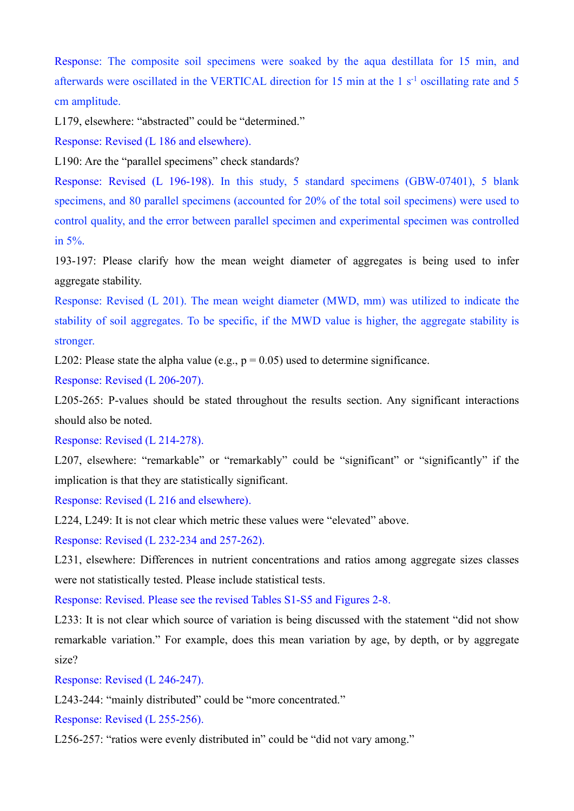Response: The composite soil specimens were soaked by the aqua destillata for 15 min, and afterwards were oscillated in the VERTICAL direction for 15 min at the 1 s<sup>-1</sup> oscillating rate and 5 cm amplitude.

L179, elsewhere: "abstracted" could be "determined."

Response: Revised (L 186 and elsewhere).

L190: Are the "parallel specimens" check standards?

Response: Revised (L 196-198). In this study, 5 standard specimens (GBW-07401), 5 blank specimens, and 80 parallel specimens (accounted for 20% of the total soil specimens) were used to control quality, and the error between parallel specimen and experimental specimen was controlled in  $5\%$ .

193-197: Please clarify how the mean weight diameter of aggregates is being used to infer aggregate stability.<br>Response: Revised (L 201). The mean weight diameter (MWD, mm) was utilized to indicate the

stability of soil aggregates. To be specific, if the MWD value is higher, the aggregate stability is stronger.

L202: Please state the alpha value (e.g.,  $p = 0.05$ ) used to determine significance.

Response: Revised (L 206-207).

L205-265: P-values should be stated throughout the results section. Any significant interactions should also be noted.

Response: Revised (L 214-278).

L207, elsewhere: "remarkable" or "remarkably" could be "significant" or "significantly" if the implication is that they are statistically significant.<br>Response: Revised (L 216 and elsewhere).

L224, L249: It is not clear which metric these values were "elevated" above.

Response: Revised (L 232-234 and 257-262).

L231, elsewhere: Differences in nutrient concentrations and ratios among aggregate sizes classes were not statistically tested. Please include statistical tests.

Response: Revised. Please see the revised Tables S1-S5 and Figures 2-8.

L233: It is not clear which source of variation is being discussed with the statement "did not show remarkable variation." For example, does this mean variation by age, by depth, or by aggregate size?

Response: Revised (L 246-247).

L243-244: "mainly distributed" could be "more concentrated."

Response: Revised (L 255-256).

L256-257: "ratios were evenly distributed in" could be "did not vary among."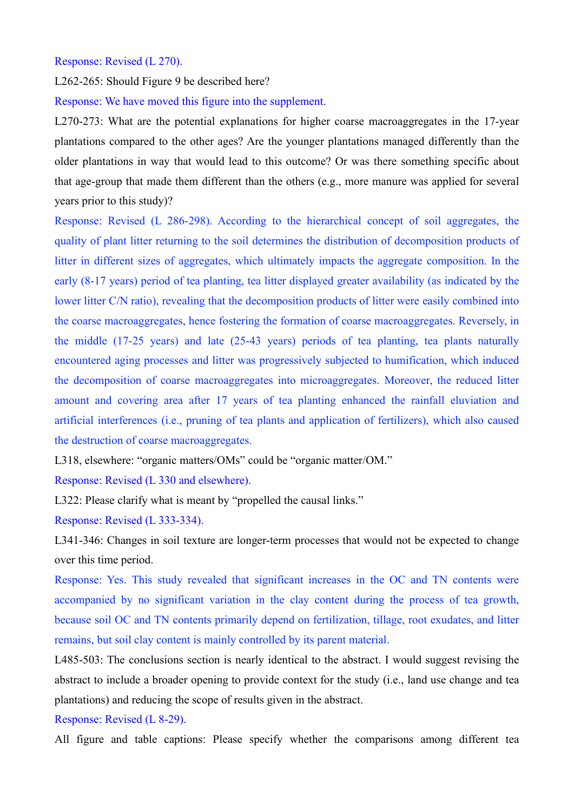## Response: Revised (L 270).

L262-265: Should Figure 9 be described here?

Response: We have moved this figure into the supplement.

L270-273: What are the potential explanations for higher coarse macroaggregates in the 17-year plantations compared to the other ages? Are the younger plantations managed differently than the older plantations in way that would lead to this outcome? Or was there something specific about that age-group that made them different than the others (e.g., more manure was applied for several years prior to this study)?

Response: Revised (L 286-298). According to the hierarchical concept of soil aggregates, the quality of plant litter returning to the soil determines the distribution of decomposition products of litter in different sizes of aggregates, which ultimately impacts the aggregate composition. In the early (8-17 years) period of tea planting, tea litter displayed greater availability (as indicated by the lower litter C/N ratio), revealing that the decomposition products of litter were easily combined into the coarse macroaggregates, hence fostering the formation of coarse macroaggregates. Reversely, in the middle (17-25 years) and late (25-43 years) periods of tea planting, tea plants naturally encountered aging processes and litter was progressively subjected to humification, which induced the decomposition of coarse macroaggregates into microaggregates. Moreover, the reduced litter amount and covering area after 17 years of tea planting enhanced the rainfall eluviation and artificial interferences (i.e., pruning of tea plants and application of fertilizers), which also caused the destruction of coarse macroaggregates.

L318, elsewhere: "organic matters/OMs" could be "organic matter/OM."

Response: Revised (L 330 and elsewhere).

L322: Please clarify what is meant by "propelled the causal links."

Response: Revised (L 333-334).

L341-346: Changes in soil texture are longer-term processes that would not be expected to change over this time period.

Response: Yes. This study revealed that significant increases in the OC and TN contents were accompanied by no significant variation in the clay content during the process of tea growth, because soil OC and TN contents primarily depend on fertilization, tillage, root exudates, and litter remains, but soil clay content is mainly controlled by its parent material.

L485-503: The conclusions section is nearly identical to the abstract. I would suggest revising the abstract to include a broader opening to provide context for the study (i.e., land use change and tea plantations) and reducing the scope of results given in the abstract.

Response: Revised (L 8-29).

All figure and table captions: Please specify whether the comparisons among different tea